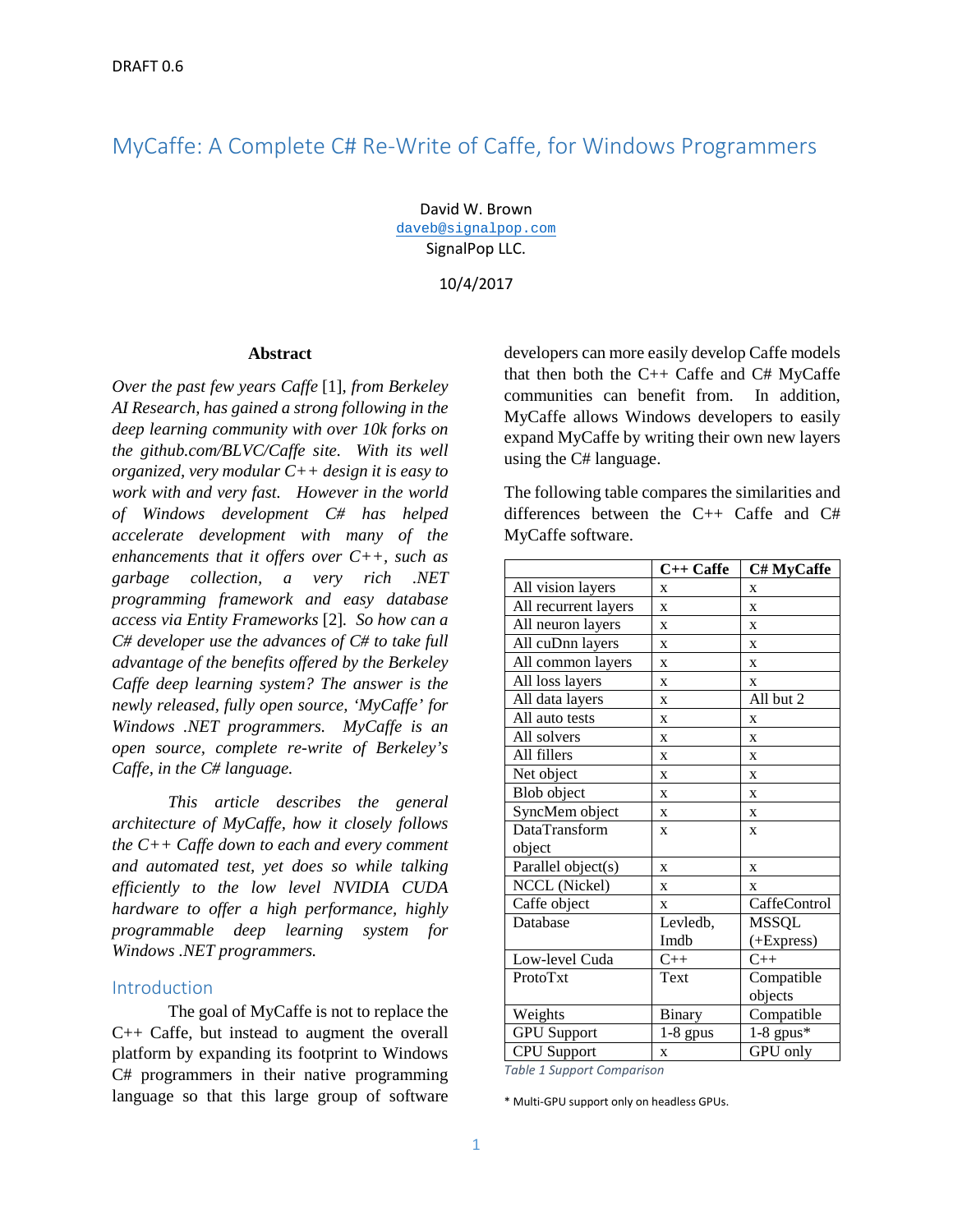# MyCaffe: A Complete C# Re-Write of Caffe, for Windows Programmers

David W. Brown [daveb@signalpop.com](mailto:daveb@signalpop.com) SignalPop LLC.

10/4/2017

#### **Abstract**

*Over the past few years Caffe* [1]*, from Berkeley AI Research, has gained a strong following in the deep learning community with over 10k forks on the github.com/BLVC/Caffe site. With its well organized, very modular C++ design it is easy to work with and very fast. However in the world of Windows development C# has helped accelerate development with many of the enhancements that it offers over C++, such as garbage collection, a very rich .NET programming framework and easy database access via Entity Frameworks* [2]*. So how can a C# developer use the advances of C# to take full advantage of the benefits offered by the Berkeley Caffe deep learning system? The answer is the newly released, fully open source, 'MyCaffe' for Windows .NET programmers. MyCaffe is an open source, complete re-write of Berkeley's Caffe, in the C# language.* 

*This article describes the general architecture of MyCaffe, how it closely follows the C++ Caffe down to each and every comment and automated test, yet does so while talking efficiently to the low level NVIDIA CUDA hardware to offer a high performance, highly programmable deep learning system for Windows .NET programmers.*

### Introduction

The goal of MyCaffe is not to replace the C++ Caffe, but instead to augment the overall platform by expanding its footprint to Windows C# programmers in their native programming language so that this large group of software

developers can more easily develop Caffe models that then both the  $C++$  Caffe and  $C#$  MyCaffe communities can benefit from. In addition, MyCaffe allows Windows developers to easily expand MyCaffe by writing their own new layers using the C# language.

The following table compares the similarities and differences between the C++ Caffe and C# MyCaffe software.

|                      | $C++$ Caffe  | C# MyCaffe   |
|----------------------|--------------|--------------|
| All vision layers    | X            | $\mathbf x$  |
| All recurrent layers | X            | X            |
| All neuron layers    | X            | X            |
| All cuDnn layers     | X            | X            |
| All common layers    | X            | X            |
| All loss layers      | X            | X            |
| All data layers      | X            | All but 2    |
| All auto tests       | X            | X            |
| All solvers          | X            | $\mathbf x$  |
| All fillers          | X            | X            |
| Net object           | X            | X            |
| Blob object          | X            | $\mathbf x$  |
| SyncMem object       | X            | X            |
| DataTransform        | $\mathbf{x}$ | $\mathbf x$  |
| object               |              |              |
| Parallel object(s)   | $\mathbf{x}$ | $\mathbf x$  |
| NCCL (Nickel)        | X            | $\mathbf x$  |
| Caffe object         | $\mathbf{x}$ | CaffeControl |
| Database             | Levledb,     | <b>MSSQL</b> |
|                      | Imdb         | (+Express)   |
| Low-level Cuda       | $C++$        | $C++$        |
| ProtoTxt             | Text         | Compatible   |
|                      |              | objects      |
| Weights              | Binary       | Compatible   |
| <b>GPU</b> Support   | $1-8$ gpus   | $1-8$ gpus*  |
| <b>CPU</b> Support   | X            | GPU only     |

*Table 1 Support Comparison*

\* Multi-GPU support only on headless GPUs.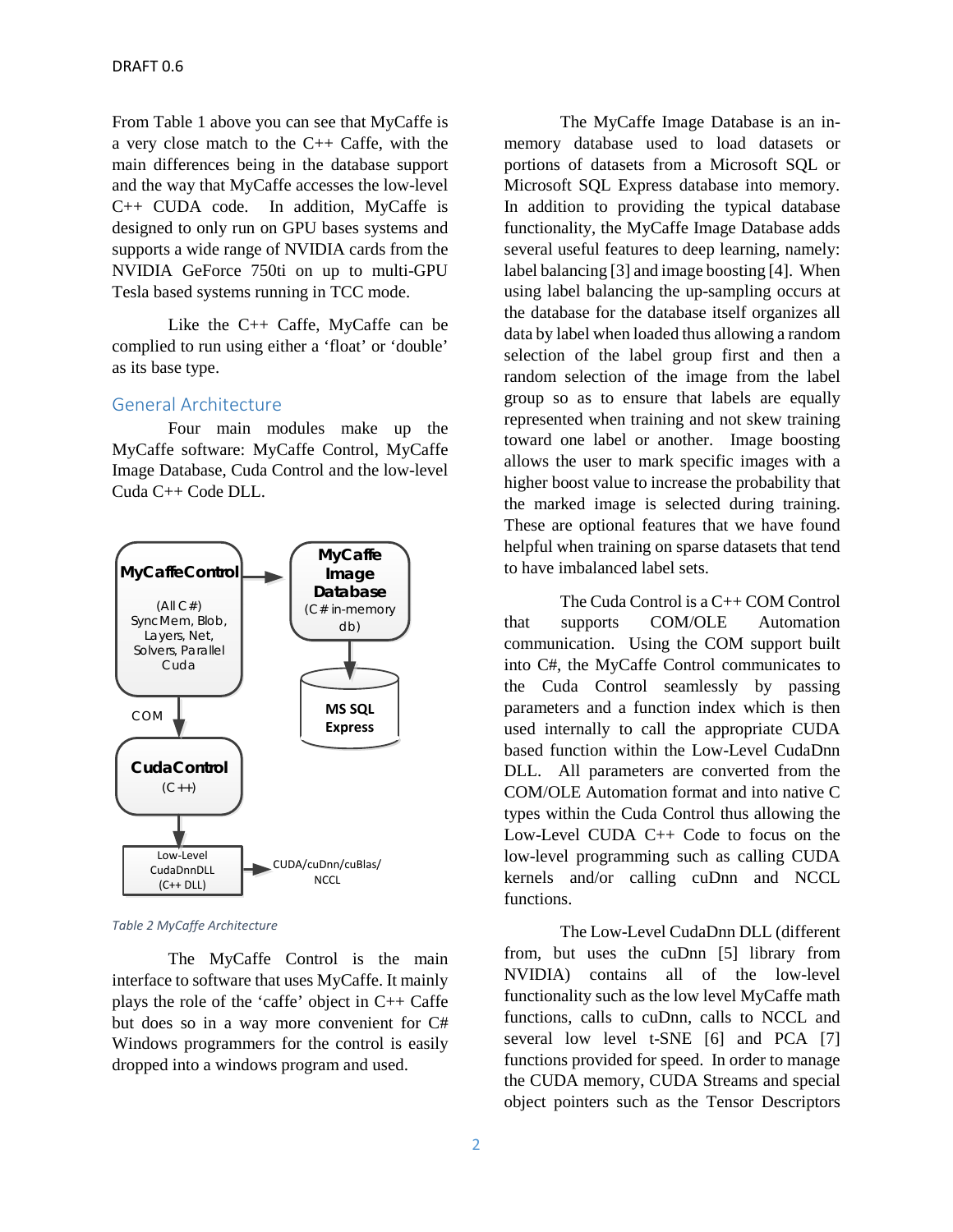From Table 1 above you can see that MyCaffe is a very close match to the C++ Caffe, with the main differences being in the database support and the way that MyCaffe accesses the low-level C++ CUDA code. In addition, MyCaffe is designed to only run on GPU bases systems and supports a wide range of NVIDIA cards from the NVIDIA GeForce 750ti on up to multi-GPU Tesla based systems running in TCC mode.

Like the C++ Caffe, MyCaffe can be complied to run using either a 'float' or 'double' as its base type.

# General Architecture

Four main modules make up the MyCaffe software: MyCaffe Control, MyCaffe Image Database, Cuda Control and the low-level Cuda C++ Code DLL.



*Table 2 MyCaffe Architecture*

The MyCaffe Control is the main interface to software that uses MyCaffe. It mainly plays the role of the 'caffe' object in C++ Caffe but does so in a way more convenient for C# Windows programmers for the control is easily dropped into a windows program and used.

The MyCaffe Image Database is an inmemory database used to load datasets or portions of datasets from a Microsoft SQL or Microsoft SQL Express database into memory. In addition to providing the typical database functionality, the MyCaffe Image Database adds several useful features to deep learning, namely: label balancing [3] and image boosting [4]. When using label balancing the up-sampling occurs at the database for the database itself organizes all data by label when loaded thus allowing a random selection of the label group first and then a random selection of the image from the label group so as to ensure that labels are equally represented when training and not skew training toward one label or another. Image boosting allows the user to mark specific images with a higher boost value to increase the probability that the marked image is selected during training. These are optional features that we have found helpful when training on sparse datasets that tend to have imbalanced label sets.

The Cuda Control is a C++ COM Control that supports COM/OLE Automation communication. Using the COM support built into C#, the MyCaffe Control communicates to the Cuda Control seamlessly by passing parameters and a function index which is then used internally to call the appropriate CUDA based function within the Low-Level CudaDnn DLL. All parameters are converted from the COM/OLE Automation format and into native C types within the Cuda Control thus allowing the Low-Level CUDA C++ Code to focus on the low-level programming such as calling CUDA kernels and/or calling cuDnn and NCCL functions.

The Low-Level CudaDnn DLL (different from, but uses the cuDnn [5] library from NVIDIA) contains all of the low-level functionality such as the low level MyCaffe math functions, calls to cuDnn, calls to NCCL and several low level t-SNE [6] and PCA [7] functions provided for speed. In order to manage the CUDA memory, CUDA Streams and special object pointers such as the Tensor Descriptors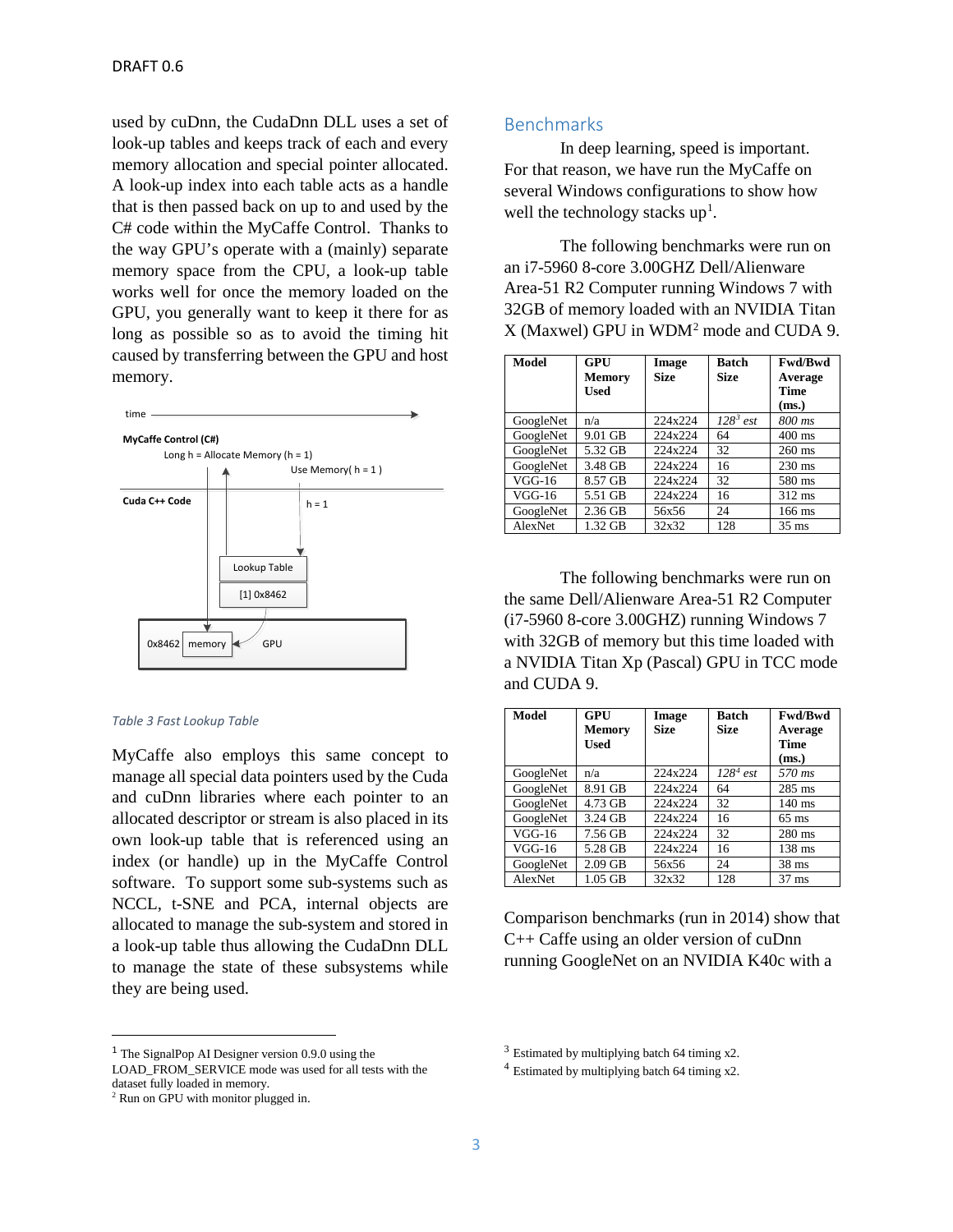used by cuDnn, the CudaDnn DLL uses a set of look-up tables and keeps track of each and every memory allocation and special pointer allocated. A look-up index into each table acts as a handle that is then passed back on up to and used by the C# code within the MyCaffe Control. Thanks to the way GPU's operate with a (mainly) separate memory space from the CPU, a look-up table works well for once the memory loaded on the GPU, you generally want to keep it there for as long as possible so as to avoid the timing hit caused by transferring between the GPU and host memory.



#### *Table 3 Fast Lookup Table*

MyCaffe also employs this same concept to manage all special data pointers used by the Cuda and cuDnn libraries where each pointer to an allocated descriptor or stream is also placed in its own look-up table that is referenced using an index (or handle) up in the MyCaffe Control software. To support some sub-systems such as NCCL, t-SNE and PCA, internal objects are allocated to manage the sub-system and stored in a look-up table thus allowing the CudaDnn DLL to manage the state of these subsystems while they are being used.

## Benchmarks

In deep learning, speed is important. For that reason, we have run the MyCaffe on several Windows configurations to show how well the technology stacks  $up<sup>1</sup>$  $up<sup>1</sup>$  $up<sup>1</sup>$ .

The following benchmarks were run on an i7-5960 8-core 3.00GHZ Dell/Alienware Area-51 R2 Computer running Windows 7 with 32GB of memory loaded with an NVIDIA Titan X (Maxwel) GPU in WDM[2](#page-2-1) mode and CUDA 9.

| Model     | GPU     | Image       | <b>Batch</b> | <b>Fwd/Bwd</b>   |
|-----------|---------|-------------|--------------|------------------|
|           | Memory  | <b>Size</b> | <b>Size</b>  | Average          |
|           | Used    |             |              | Time             |
|           |         |             |              | (ms.)            |
| GoogleNet | n/a     | 224x224     | $128^3$ est  | 800 ms           |
| GoogleNet | 9.01 GB | 224x224     | 64           | $400$ ms         |
| GoogleNet | 5.32 GB | 224x224     | 32           | $260$ ms         |
| GoogleNet | 3.48 GB | 224x224     | 16           | $230 \text{ ms}$ |
| $VGG-16$  | 8.57 GB | 224x224     | 32           | 580 ms           |
| $VGG-16$  | 5.51 GB | 224x224     | 16           | $312 \text{ ms}$ |
| GoogleNet | 2.36 GB | 56x56       | 24           | $166$ ms         |
| AlexNet   | 1.32 GB | 32x32       | 128          | $35 \text{ ms}$  |

The following benchmarks were run on the same Dell/Alienware Area-51 R2 Computer (i7-5960 8-core 3.00GHZ) running Windows 7 with 32GB of memory but this time loaded with a NVIDIA Titan Xp (Pascal) GPU in TCC mode and CUDA 9.

| <b>Model</b> | GPU           | Image       | <b>Batch</b> | <b>Fwd/Bwd</b>  |
|--------------|---------------|-------------|--------------|-----------------|
|              | <b>Memory</b> | <b>Size</b> | <b>Size</b>  | Average         |
|              | <b>Used</b>   |             |              | Time            |
|              |               |             |              | (ms.)           |
| GoogleNet    | n/a           | 224x224     | $128^4$ est  | 570 ms          |
| GoogleNet    | 8.91 GB       | 224x224     | 64           | $285$ ms        |
| GoogleNet    | 4.73 GB       | 224x224     | 32           | $140$ ms        |
| GoogleNet    | 3.24 GB       | 224x224     | 16           | $65 \text{ ms}$ |
| $VGG-16$     | 7.56 GB       | 224x224     | 32           | $280$ ms        |
| $VGG-16$     | 5.28 GB       | 224x224     | 16           | $138$ ms        |
| GoogleNet    | $2.09$ GB     | 56x56       | 24           | $38 \text{ ms}$ |
| AlexNet      | $1.05$ GB     | 32x32       | 128          | $37 \text{ ms}$ |

Comparison benchmarks (run in 2014) show that C++ Caffe using an older version of cuDnn running GoogleNet on an NVIDIA K40c with a

<span id="page-2-0"></span> $<sup>1</sup>$  The SignalPop AI Designer version 0.9.0 using the</sup>

<span id="page-2-2"></span>LOAD\_FROM\_SERVICE mode was used for all tests with the dataset fully loaded in memory.

<span id="page-2-1"></span><sup>2</sup> Run on GPU with monitor plugged in.

 $3$  Estimated by multiplying batch 64 timing x2.

<sup>4</sup> Estimated by multiplying batch 64 timing x2.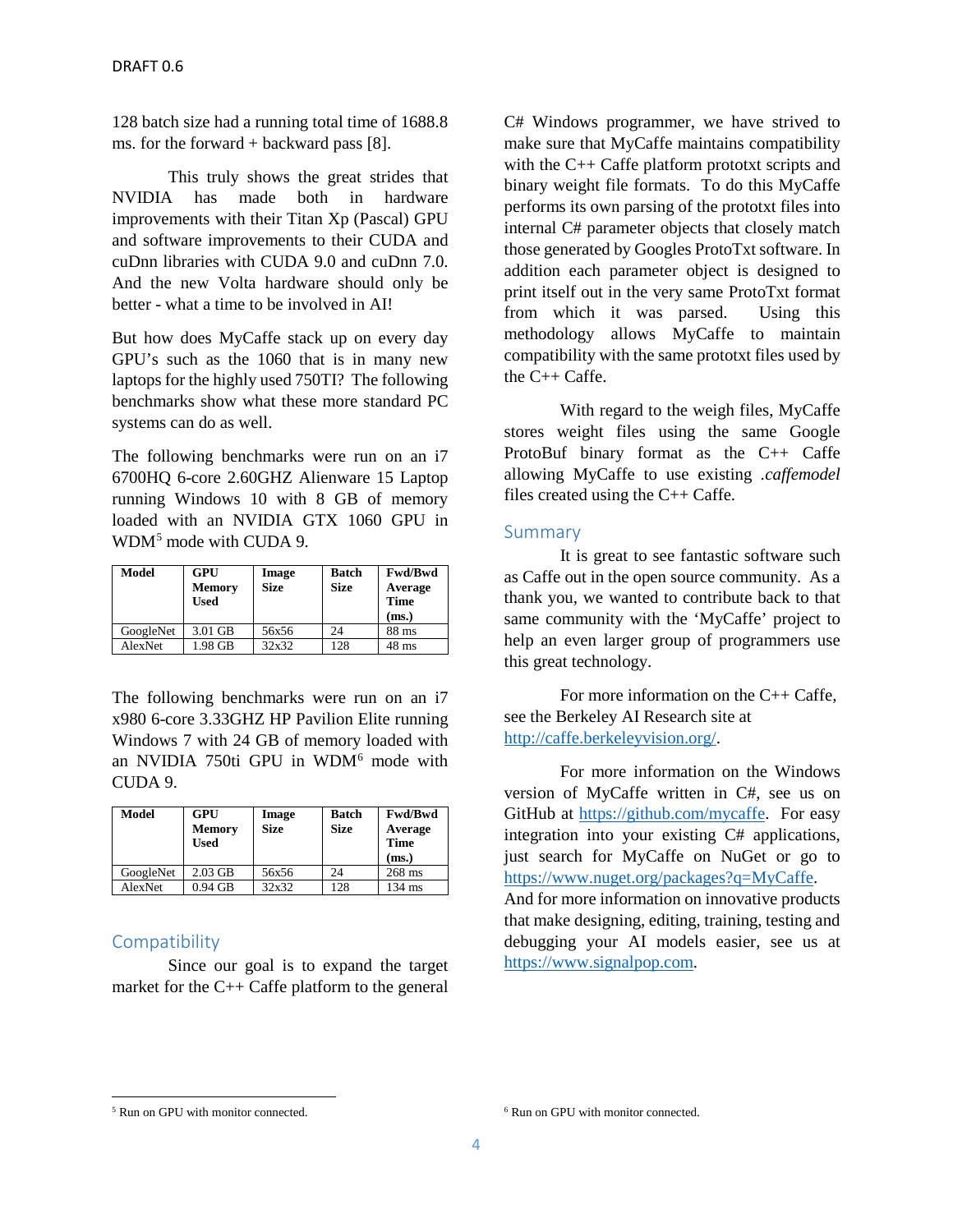128 batch size had a running total time of 1688.8 ms. for the forward + backward pass  $[8]$ .

This truly shows the great strides that NVIDIA has made both in hardware improvements with their Titan Xp (Pascal) GPU and software improvements to their CUDA and cuDnn libraries with CUDA 9.0 and cuDnn 7.0. And the new Volta hardware should only be better - what a time to be involved in AI!

But how does MyCaffe stack up on every day GPU's such as the 1060 that is in many new laptops for the highly used 750TI? The following benchmarks show what these more standard PC systems can do as well.

The following benchmarks were run on an i7 6700HQ 6-core 2.60GHZ Alienware 15 Laptop running Windows 10 with 8 GB of memory loaded with an NVIDIA GTX 1060 GPU in WDM<sup>[5](#page-3-0)</sup> mode with CUDA 9.

| Model     | GPU<br><b>Memory</b><br>Used | Image<br><b>Size</b> | <b>Batch</b><br><b>Size</b> | <b>Fwd/Bwd</b><br>Average<br><b>Time</b><br>(ms.) |
|-----------|------------------------------|----------------------|-----------------------------|---------------------------------------------------|
| GoogleNet | 3.01 GB                      | 56x56                | 24                          | 88 ms                                             |
| AlexNet   | 1.98 GB                      | 32x32                | 128                         | $48$ ms                                           |

The following benchmarks were run on an i7 x980 6-core 3.33GHZ HP Pavilion Elite running Windows 7 with 24 GB of memory loaded with an NVIDIA 750ti GPU in WDM[6](#page-3-0) mode with CUDA 9.

| Model     | GPU<br><b>Memory</b><br><b>Used</b> | Image<br><b>Size</b> | <b>Batch</b><br><b>Size</b> | <b>Fwd/Bwd</b><br>Average<br><b>Time</b><br>(ms.) |
|-----------|-------------------------------------|----------------------|-----------------------------|---------------------------------------------------|
| GoogleNet | $2.03$ GB                           | 56x56                | 24                          | 268 ms                                            |
| AlexNet   | $0.94$ GB                           | 32x32                | 128                         | $134 \text{ ms}$                                  |

# **Compatibility**

l

Since our goal is to expand the target market for the C++ Caffe platform to the general C# Windows programmer, we have strived to make sure that MyCaffe maintains compatibility with the C<sub>++</sub> Caffe platform prototxt scripts and binary weight file formats. To do this MyCaffe performs its own parsing of the prototxt files into internal C# parameter objects that closely match those generated by Googles ProtoTxt software. In addition each parameter object is designed to print itself out in the very same ProtoTxt format from which it was parsed. Using this methodology allows MyCaffe to maintain compatibility with the same prototxt files used by the C++ Caffe.

With regard to the weigh files, MyCaffe stores weight files using the same Google ProtoBuf binary format as the C++ Caffe allowing MyCaffe to use existing *.caffemodel* files created using the C++ Caffe.

## **Summary**

It is great to see fantastic software such as Caffe out in the open source community. As a thank you, we wanted to contribute back to that same community with the 'MyCaffe' project to help an even larger group of programmers use this great technology.

For more information on the C++ Caffe, see the Berkeley AI Research site at [http://caffe.berkeleyvision.org/.](http://caffe.berkeleyvision.org/)

For more information on the Windows version of MyCaffe written in C#, see us on GitHub at [https://github.com/mycaffe.](https://github.com/mycaffe) For easy integration into your existing C# applications, just search for MyCaffe on NuGet or go to [https://www.nuget.org/packages?q=MyCaffe.](https://www.nuget.org/packages?q=MyCaffe)

And for more information on innovative products that make designing, editing, training, testing and debugging your AI models easier, see us at [https://www.signalpop.com.](https://www.signalpop.com/)

<span id="page-3-0"></span>

<sup>&</sup>lt;sup>5</sup> Run on GPU with monitor connected.  $\frac{6}{5}$  Run on GPU with monitor connected.